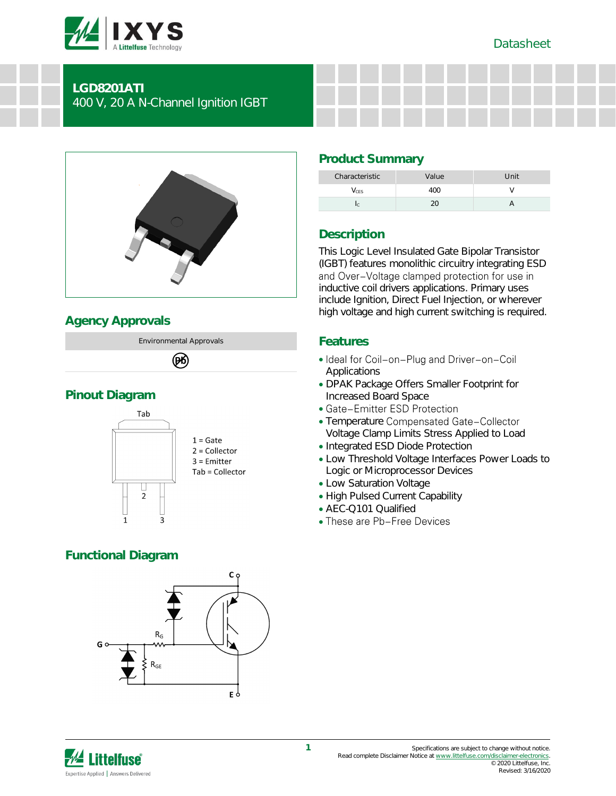

## **LGD8201ATI** 400 V, 20 A N-Channel Ignition IGBT



# **Agency Approvals**



# **Pinout Diagram**



# **Functional Diagram**



# **Product Summary**

| Characteristic | Value | Unit |
|----------------|-------|------|
| $\sqrt{C}$ ES  | ( ) ( |      |
|                |       |      |

# **Description**

This Logic Level Insulated Gate Bipolar Transistor (IGBT) features monolithic circuitry integrating ESD<br>and Over-Voltage clamped protection for use in inductive coil drivers applications. Primary uses include Ignition, Direct Fuel Injection, or wherever high voltage and high current switching is required.

## **Features**

- Ideal for Coil-on-Plug and Driver-on-Coil **Applications**
- DPAK Package Offers Smaller Footprint for Increased Board Space
- Gate-Emitter ESD Protection
- Temperature Compensated Gate-Collector Voltage Clamp Limits Stress Applied to Load
- Integrated ESD Diode Protection
- Low Threshold Voltage Interfaces Power Loads to Logic or Microprocessor Devices
- Low Saturation Voltage
- High Pulsed Current Capability
- AEC-Q101 Qualified
- These are Pb-Free Devices

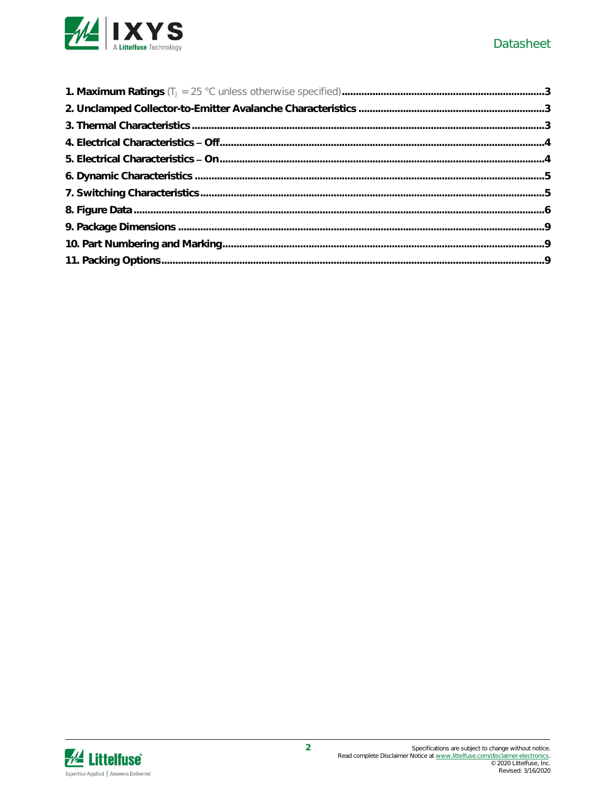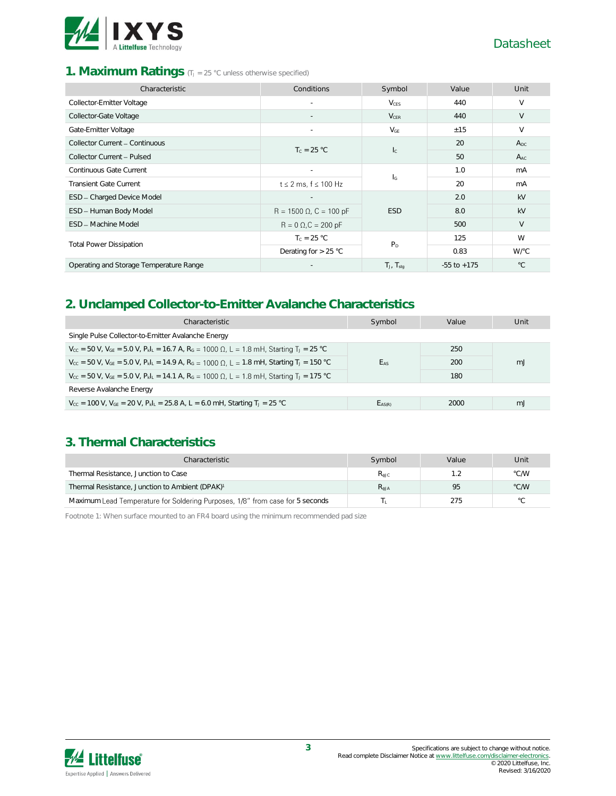

#### 1. **Maximum Ratings** (TJ = 25 °C unless otherwise specified)

| Characteristic                          | Conditions                     | Symbol                    | Value           | Unit         |
|-----------------------------------------|--------------------------------|---------------------------|-----------------|--------------|
| Collector-Emitter Voltage               |                                | $V_{CFS}$                 | 440             | $\vee$       |
| Collector-Gate Voltage                  |                                | $V_{CER}$                 | 440             | V            |
| Gate-Emitter Voltage                    |                                | $V_{GE}$                  | ±15             | $\vee$       |
| Collector Current - Continuous          | $T_c = 25 °C$                  | $\mathsf{I}_\mathbb{C}$   | 20              | $A_{DC}$     |
| Collector Current - Pulsed              |                                |                           | 50              | $A_{AC}$     |
| Continuous Gate Current                 |                                | $\mathsf{I}_{\mathsf{G}}$ | 1.0             | mA           |
| <b>Transient Gate Current</b>           | $t \leq 2$ ms, $f \leq 100$ Hz |                           | 20              | mA           |
| ESD - Charged Device Model              |                                |                           | 2.0             | kV           |
| ESD - Human Body Model                  | $R = 1500 \Omega$ , C = 100 pF | <b>ESD</b>                | 8.0             | kV           |
| ESD - Machine Model                     | $R = 0 \Omega$ , $C = 200 pF$  |                           | 500             | $\vee$       |
|                                         | $T_c = 25 °C$                  | $P_D$                     | 125             | W            |
| <b>Total Power Dissipation</b>          | Derating for $> 25$ °C         |                           | 0.83            | W/°C         |
| Operating and Storage Temperature Range |                                | $T_J$ , $T_{stag}$        | $-55$ to $+175$ | $^{\circ}$ C |

## **2. Unclamped Collector-to-Emitter Avalanche Characteristics**

| Characteristic                                                                                                                                         | Symbol      | Value | Unit |  |
|--------------------------------------------------------------------------------------------------------------------------------------------------------|-------------|-------|------|--|
| Single Pulse Collector-to-Emitter Avalanche Energy                                                                                                     |             |       |      |  |
| $V_{cc}$ = 50 V, $V_{GE}$ = 5.0 V, $P_kI_k$ = 16.7 A, $R_G$ = 1000 Ω, L = 1.8 mH, Starting T <sub>J</sub> = 25 °C                                      |             | 250   |      |  |
| $V_{cc}$ = 50 V, $V_{GE}$ = 5.0 V, $P_{k L}$ = 14.9 A, $R_G$ = 1000 Ω, L = 1.8 mH, Starting T <sub>J</sub> = 150 °C                                    | EAS         | 200   | m.   |  |
| $V_{cc}$ = 50 V, V <sub>GE</sub> = 5.0 V, P <sub>kl</sub> <sub>L</sub> = 14.1 A, R <sub>G</sub> = 1000 Ω, L = 1.8 mH, Starting T <sub>J</sub> = 175 °C |             | 180   |      |  |
| Reverse Avalanche Energy                                                                                                                               |             |       |      |  |
| $V_{\text{CC}}$ = 100 V, $V_{\text{GE}}$ = 20 V, $P_{\text{k}}I_{\text{L}}$ = 25.8 A, L = 6.0 mH, Starting T <sub>J</sub> = 25 °C                      | $E_{AS(R)}$ | 2000  | m.   |  |

### **3. Thermal Characteristics**

| Characteristic                                                                | Symbol        | Value | Unit           |
|-------------------------------------------------------------------------------|---------------|-------|----------------|
| Thermal Resistance, Junction to Case                                          | $R_{\rm AIC}$ |       | °C/W           |
| Thermal Resistance, Junction to Ambient (DPAK) <sup>1</sup>                   | $R_{AIA}$     | 95    | °C/W           |
| Maximum Lead Temperature for Soldering Purposes, 1/8" from case for 5 seconds |               | 275   | $\circ$ $\cap$ |

Footnote 1: When surface mounted to an FR4 board using the minimum recommended pad size

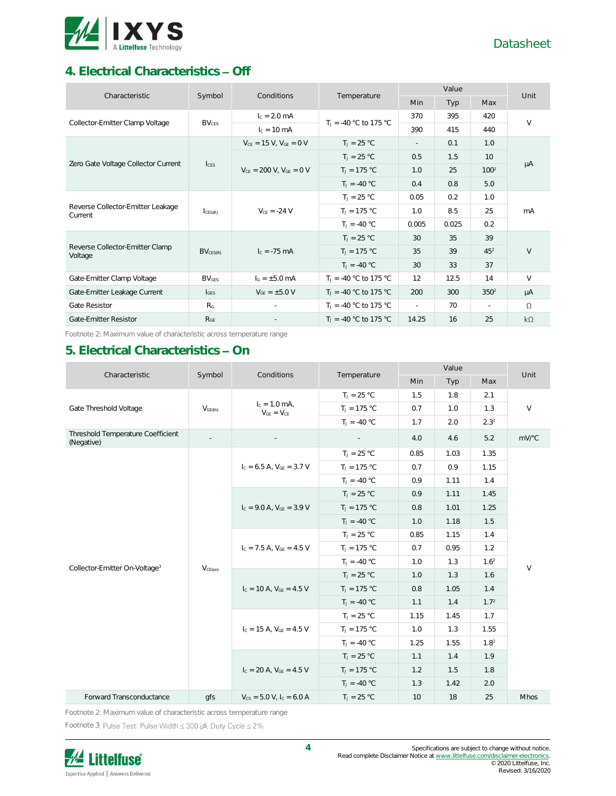

# **4. Electrical Characteristics Off**

| Characteristic                               | Symbol            |                                  | Conditions<br>Temperature |               | Value |                  |           |  |
|----------------------------------------------|-------------------|----------------------------------|---------------------------|---------------|-------|------------------|-----------|--|
|                                              |                   |                                  |                           | Min           | Typ   | Max              | Unit      |  |
| Collector-Emitter Clamp Voltage              | BV <sub>CFS</sub> | $I_c = 2.0$ mA                   | $T_1 = -40$ °C to 175 °C  | 370           | 395   | 420              | $\vee$    |  |
|                                              |                   | $I_c = 10 \text{ mA}$            |                           | 390           | 415   | 440              |           |  |
|                                              |                   | $V_{CE} = 15 V$ , $V_{GE} = 0 V$ | $T_1 = 25 °C$             | $\sim$        | 0.1   | 1.0              |           |  |
|                                              |                   |                                  | $T_J = 25 °C$             | 0.5           | 1.5   | 10 <sup>1</sup>  |           |  |
| Zero Gate Voltage Collector Current          | $l_{\text{CES}}$  | $V_{CE}$ = 200 V, $V_{GE}$ = 0 V | $T_1 = 175 °C$            | 1.0           | 25    | 100 <sup>2</sup> | μA        |  |
|                                              |                   |                                  | $T_1 = -40 °C$            | 0.4           | 0.8   | 5.0              |           |  |
| Reverse Collector-Emitter Leakage<br>Current | CES(R)            | $V_{CF} = -24 V$                 | $T_1 = 25 °C$             | 0.05          | 0.2   | 1.0              | mA        |  |
|                                              |                   |                                  | $T_1 = 175 °C$            | 1.0           | 8.5   | 25               |           |  |
|                                              |                   |                                  | $T_1 = -40 °C$            | 0.005         | 0.025 | 0.2              |           |  |
|                                              |                   |                                  | $T_1 = 25 °C$             | 30            | 35    | 39               |           |  |
| Reverse Collector-Emitter Clamp<br>Voltage   | $BV_{CES(R)}$     | $I_c = -75$ mA                   | $T_J = 175 °C$            | 35            | 39    | $45^{2}$         | $\vee$    |  |
|                                              |                   |                                  | $T_J = -40 °C$            | 30            | 33    | 37               |           |  |
| Gate-Emitter Clamp Voltage                   | <b>BVGES</b>      | $I_G = \pm 5.0$ mA               | $T_1 = -40$ °C to 175 °C  | 12            | 12.5  | 14               | $\vee$    |  |
| Gate-Emitter Leakage Current                 | $I_{GFS}$         | $V_{GF} = \pm 5.0 V$             | $T_1 = -40$ °C to 175 °C  | 200           | 300   | 350 <sup>2</sup> | μA        |  |
| Gate Resistor                                | R <sub>G</sub>    |                                  | $T_1 = -40$ °C to 175 °C  | $\mathcal{L}$ | 70    | $\sim$           | $\Omega$  |  |
| Gate-Emitter Resistor                        | $R_{GE}$          |                                  | $T_1 = -40$ °C to 175 °C  | 14.25         | 16    | 25               | $k\Omega$ |  |

Footnote 2: Maximum value of characteristic across temperature range

# **5. Electrical Characteristics - On**

| Characteristic                                  | Symbol<br>Conditions | Temperature                          | Value          |      |      | Unit             |             |
|-------------------------------------------------|----------------------|--------------------------------------|----------------|------|------|------------------|-------------|
|                                                 |                      |                                      |                | Min  | Typ  | Max              |             |
|                                                 |                      |                                      | $T_J = 25 °C$  | 1.5  | 1.8  | 2.1              |             |
| Gate Threshold Voltage                          | V <sub>GE(th)</sub>  | $I_c = 1.0$ mA,<br>$V_{GE} = V_{CE}$ | $T_J = 175 °C$ | 0.7  | 1.0  | 1.3              | $\vee$      |
|                                                 |                      |                                      | $T_J = -40 °C$ | 1.7  | 2.0  | $2.3^{2}$        |             |
| Threshold Temperature Coefficient<br>(Negative) |                      |                                      |                | 4.0  | 4.6  | 5.2              | mV/°C       |
|                                                 |                      |                                      | $T_J = 25 °C$  | 0.85 | 1.03 | 1.35             |             |
|                                                 |                      | $I_c = 6.5$ A, $V_{GF} = 3.7$ V      | $T_J = 175 °C$ | 0.7  | 0.9  | 1.15             |             |
|                                                 |                      |                                      | $T_J = -40 °C$ | 0.9  | 1.11 | 1.4              |             |
|                                                 |                      | $I_c = 9.0$ A, $V_{GE} = 3.9$ V      | $T_J = 25 °C$  | 0.9  | 1.11 | 1.45             |             |
|                                                 | $V_{CE(on)}$         |                                      | $T_J = 175 °C$ | 0.8  | 1.01 | 1.25             | $\vee$      |
|                                                 |                      |                                      | $T_1 = -40 °C$ | 1.0  | 1.18 | 1.5              |             |
|                                                 |                      | $I_c = 7.5$ A, $V_{GF} = 4.5$ V      | $T_J = 25 °C$  | 0.85 | 1.15 | 1.4              |             |
|                                                 |                      |                                      | $T_1 = 175 °C$ | 0.7  | 0.95 | 1.2              |             |
| Collector-Emitter On-Voltage <sup>3</sup>       |                      |                                      | $T_1 = -40 °C$ | 1.0  | 1.3  | 1.6 <sup>2</sup> |             |
|                                                 |                      | $I_c = 10$ A, $V_{GE} = 4.5$ V       | $T_J = 25 °C$  | 1.0  | 1.3  | 1.6              |             |
|                                                 |                      |                                      | $T_J = 175 °C$ | 0.8  | 1.05 | 1.4              |             |
|                                                 |                      |                                      | $T_J = -40 °C$ | 1.1  | 1.4  | 1.7 <sup>2</sup> |             |
|                                                 |                      |                                      | $T_J = 25 °C$  | 1.15 | 1.45 | 1.7              |             |
|                                                 |                      | $I_c = 15$ A, $V_{GE} = 4.5$ V       | $T_J = 175 °C$ | 1.0  | 1.3  | 1.55             |             |
|                                                 |                      |                                      | $T_1 = -40 °C$ | 1.25 | 1.55 | 1.8 <sup>2</sup> |             |
|                                                 |                      |                                      | $T_1 = 25 °C$  | 1.1  | 1.4  | 1.9              |             |
|                                                 |                      | $I_c = 20$ A, $V_{GF} = 4.5$ V       | $T_1 = 175 °C$ | 1.2  | 1.5  | 1.8              |             |
|                                                 |                      |                                      | $T_J = -40 °C$ | 1.3  | 1.42 | 2.0              |             |
| Forward Transconductance                        | qfs                  | $V_{CS} = 5.0 V, I_C = 6.0 A$        | $T_J = 25 °C$  | 10   | 18   | 25               | <b>Mhos</b> |

Footnote 2: Maximum value of characteristic across temperature range

Footnote 3: Pulse Test: Pulse Width  $\leq 300$  µs, Duty Cycle  $\leq 2\%$ 

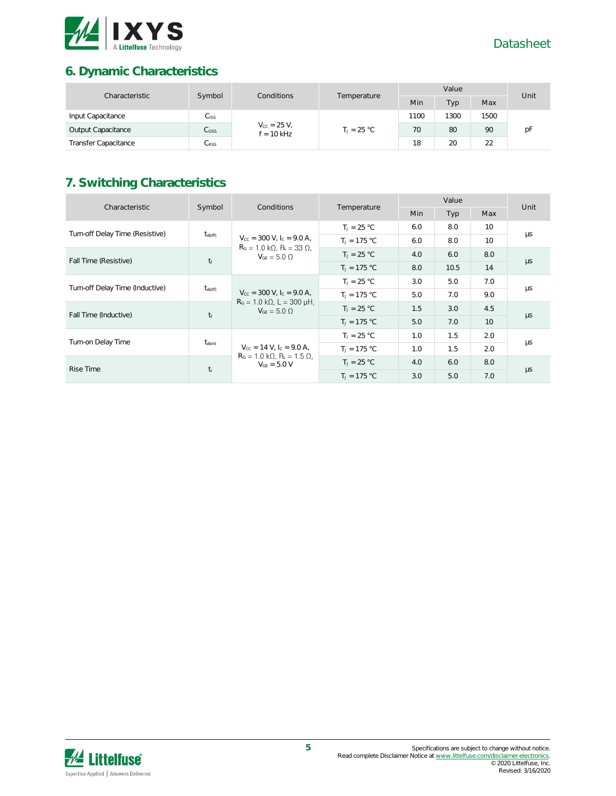

# **6. Dynamic Characteristics**

| Characteristic              | Symbol<br>Conditions | Temperature                          | Value |               |      | Unit |    |    |
|-----------------------------|----------------------|--------------------------------------|-------|---------------|------|------|----|----|
|                             |                      |                                      |       | Min           | Typ  | Max  |    |    |
| Input Capacitance           | $C_{\text{ISS}}$     | $V_{\rm CC} = 25 V,$<br>$f = 10$ kHz |       | 1100          | 1300 | 1500 |    |    |
| Output Capacitance          | C <sub>oss</sub>     |                                      |       | $T_1 = 25 °C$ | 70   | 80   | 90 | рF |
| <b>Transfer Capacitance</b> | $C_{\rm RSS}$        |                                      |       | 18            | 20   | 22   |    |    |

# **7. Switching Characteristics**

| Characteristic                    | Symbol              | Conditions                                                                 | Temperature    | Value      |            |                 | Unit    |
|-----------------------------------|---------------------|----------------------------------------------------------------------------|----------------|------------|------------|-----------------|---------|
|                                   |                     |                                                                            |                | <b>Min</b> | <b>Typ</b> | Max             |         |
|                                   |                     |                                                                            | $T_1 = 25 °C$  | 6.0        | 8.0        | 10 <sup>2</sup> |         |
| Turn-off Delay Time (Resistive)   | $t_{\text{d(off)}}$ | $V_{\text{cc}} = 300 \text{ V}$ , $I_{\text{c}} = 9.0 \text{ A}$ ,         | $T_1 = 175 °C$ | 6.0        | 8.0        | 10              | μs      |
|                                   |                     | $R_G = 1.0 \text{ k}\Omega$ , $R_L = 33 \Omega$ ,<br>$V_{GF} = 5.0 \Omega$ | $T_1 = 25 °C$  | 4.0        | 6.0        | 8.0             |         |
| Fall Time (Resistive)             | $t_f$               |                                                                            | $T_1 = 175 °C$ | 8.0        | 10.5       | 14              | $\mu s$ |
| Turn-off Delay Time (Inductive)   | $t_{\text{d(off)}}$ | $V_{\text{cc}} = 300 \text{ V}$ , $I_{\text{c}} = 9.0 \text{ A}$ ,         | $T_1 = 25 °C$  | 3.0        | 5.0        | 7.0             | μs      |
|                                   |                     |                                                                            | $T_1 = 175 °C$ | 5.0        | 7.0        | 9.0             |         |
| Fall Time (Inductive)             |                     | $RG = 1.0 k\Omega$ , L = 300 uH,<br>$V_{GF} = 5.0 \Omega$                  | $T_1 = 25 °C$  | 1.5        | 3.0        | 4.5             |         |
|                                   | $t_f$               |                                                                            | $T_1 = 175 °C$ | 5.0        | 7.0        | 10 <sup>°</sup> | $\mu s$ |
| Turn-on Delay Time<br>$t_{d(on)}$ |                     | $V_{\text{cc}} = 14 \text{ V}$ , $I_{\text{c}} = 9.0 \text{ A}$ ,          | $T_1 = 25 °C$  | 1.0        | 1.5        | 2.0             |         |
|                                   |                     |                                                                            | $T_1 = 175 °C$ | 1.0        | 1.5        | 2.0             | μs      |
| Rise Time                         |                     | $RG = 1.0 k\Omega$ , $RL = 1.5 \Omega$ ,<br>$V_{GF} = 5.0 V$               | $T_1 = 25 °C$  | 4.0        | 6.0        | 8.0             |         |
|                                   | $t_{\rm r}$         |                                                                            | $T_1 = 175 °C$ | 3.0        | 5.0        | 7.0             | $\mu s$ |

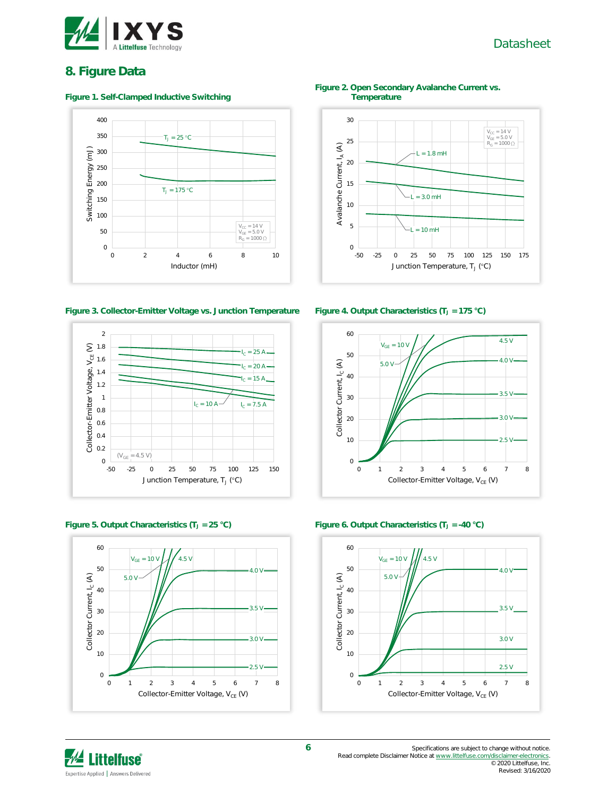

### Datasheet

### **8. Figure Data**

#### **Figure 1. Self-Clamped Inductive Switching**



**Figure 3. Collector-Emitter Voltage vs. Junction Temperature Figure 4. Output Characteristics (T<sup>J</sup> = 175 °C)**







**Figure 2. Open Secondary Avalanche Current vs. Temperature**







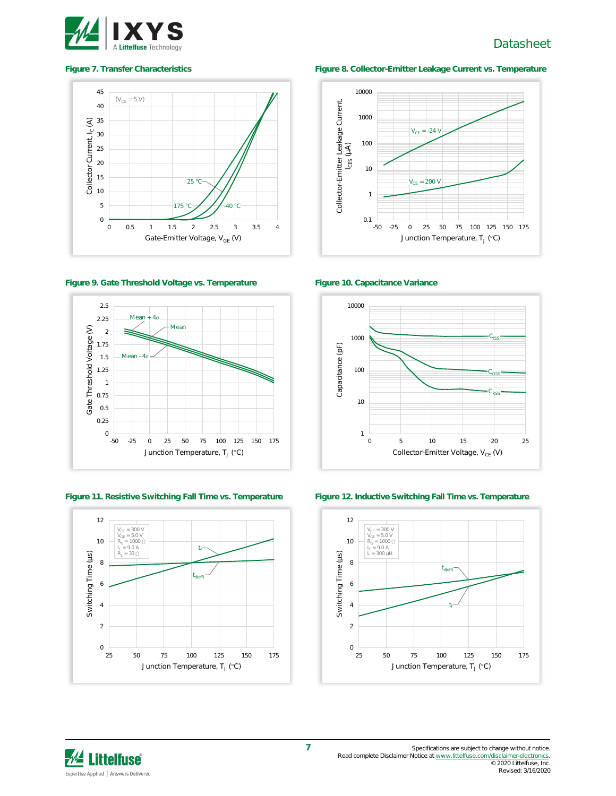

## Datasheet



**Figure 9. Gate Threshold Voltage vs. Temperature Figure 10. Capacitance Variance**



**Figure 11. Resistive Switching Fall Time vs. Temperature Figure 12. Inductive Switching Fall Time vs. Temperature**



#### **Figure 7. Transfer Characteristics Figure 8. Collector-Emitter Leakage Current vs. Temperature**







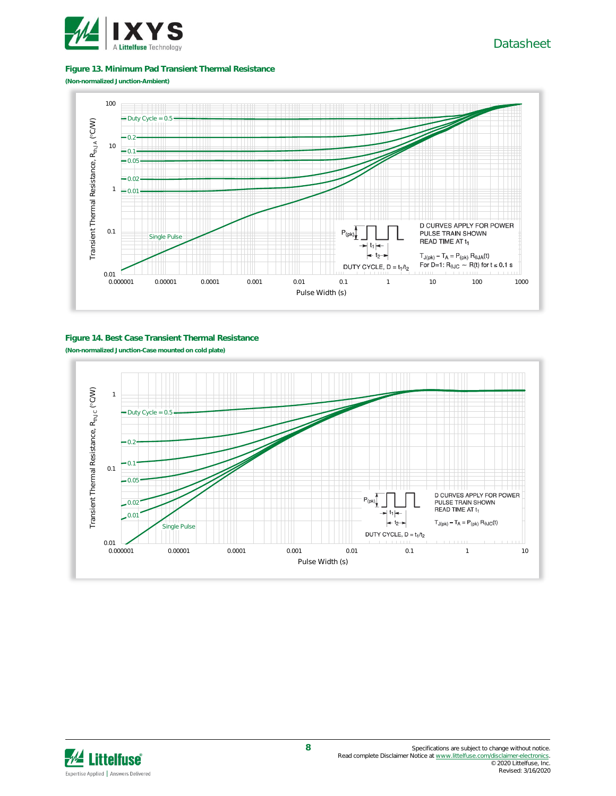

#### **Figure 13. Minimum Pad Transient Thermal Resistance**

**(Non-normalized Junction-Ambient)**



#### **Figure 14. Best Case Transient Thermal Resistance**

**(Non-normalized Junction-Case mounted on cold plate)**